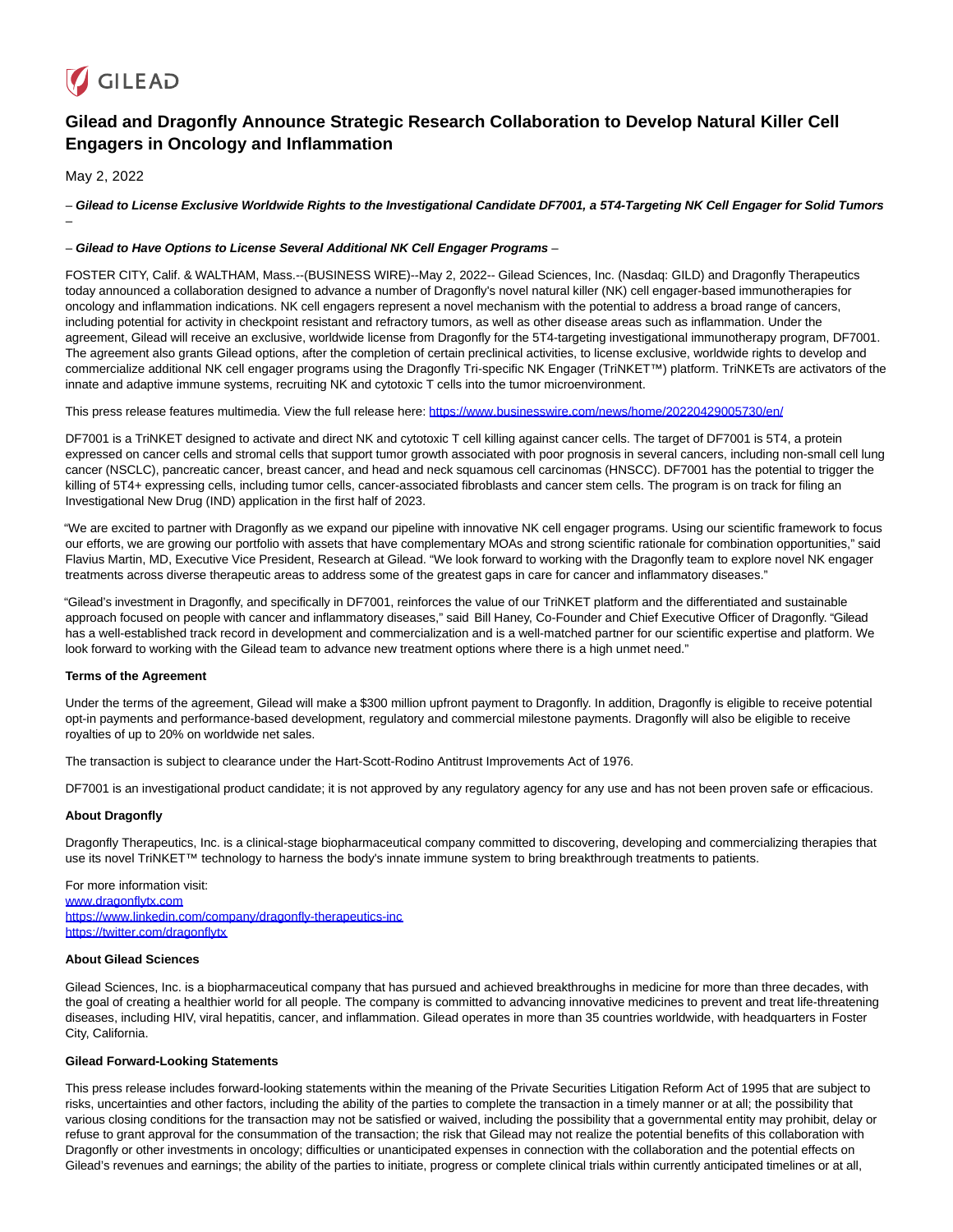

# **Gilead and Dragonfly Announce Strategic Research Collaboration to Develop Natural Killer Cell Engagers in Oncology and Inflammation**

May 2, 2022

–

– **Gilead to License Exclusive Worldwide Rights to the Investigational Candidate DF7001, a 5T4-Targeting NK Cell Engager for Solid Tumors**

### – **Gilead to Have Options to License Several Additional NK Cell Engager Programs** –

FOSTER CITY, Calif. & WALTHAM, Mass.--(BUSINESS WIRE)--May 2, 2022-- Gilead Sciences, Inc. (Nasdaq: GILD) and Dragonfly Therapeutics today announced a collaboration designed to advance a number of Dragonfly's novel natural killer (NK) cell engager-based immunotherapies for oncology and inflammation indications. NK cell engagers represent a novel mechanism with the potential to address a broad range of cancers, including potential for activity in checkpoint resistant and refractory tumors, as well as other disease areas such as inflammation. Under the agreement, Gilead will receive an exclusive, worldwide license from Dragonfly for the 5T4-targeting investigational immunotherapy program, DF7001. The agreement also grants Gilead options, after the completion of certain preclinical activities, to license exclusive, worldwide rights to develop and commercialize additional NK cell engager programs using the Dragonfly Tri-specific NK Engager (TriNKET™) platform. TriNKETs are activators of the innate and adaptive immune systems, recruiting NK and cytotoxic T cells into the tumor microenvironment.

This press release features multimedia. View the full release here:<https://www.businesswire.com/news/home/20220429005730/en/>

DF7001 is a TriNKET designed to activate and direct NK and cytotoxic T cell killing against cancer cells. The target of DF7001 is 5T4, a protein expressed on cancer cells and stromal cells that support tumor growth associated with poor prognosis in several cancers, including non-small cell lung cancer (NSCLC), pancreatic cancer, breast cancer, and head and neck squamous cell carcinomas (HNSCC). DF7001 has the potential to trigger the killing of 5T4+ expressing cells, including tumor cells, cancer-associated fibroblasts and cancer stem cells. The program is on track for filing an Investigational New Drug (IND) application in the first half of 2023.

"We are excited to partner with Dragonfly as we expand our pipeline with innovative NK cell engager programs. Using our scientific framework to focus our efforts, we are growing our portfolio with assets that have complementary MOAs and strong scientific rationale for combination opportunities," said Flavius Martin, MD, Executive Vice President, Research at Gilead. "We look forward to working with the Dragonfly team to explore novel NK engager treatments across diverse therapeutic areas to address some of the greatest gaps in care for cancer and inflammatory diseases."

"Gilead's investment in Dragonfly, and specifically in DF7001, reinforces the value of our TriNKET platform and the differentiated and sustainable approach focused on people with cancer and inflammatory diseases," said Bill Haney, Co-Founder and Chief Executive Officer of Dragonfly. "Gilead has a well-established track record in development and commercialization and is a well-matched partner for our scientific expertise and platform. We look forward to working with the Gilead team to advance new treatment options where there is a high unmet need."

### **Terms of the Agreement**

Under the terms of the agreement, Gilead will make a \$300 million upfront payment to Dragonfly. In addition, Dragonfly is eligible to receive potential opt-in payments and performance-based development, regulatory and commercial milestone payments. Dragonfly will also be eligible to receive royalties of up to 20% on worldwide net sales.

The transaction is subject to clearance under the Hart-Scott-Rodino Antitrust Improvements Act of 1976.

DF7001 is an investigational product candidate; it is not approved by any regulatory agency for any use and has not been proven safe or efficacious.

### **About Dragonfly**

Dragonfly Therapeutics, Inc. is a clinical-stage biopharmaceutical company committed to discovering, developing and commercializing therapies that use its novel TriNKET™ technology to harness the body's innate immune system to bring breakthrough treatments to patients.

For more information visit: [www.dragonflytx.com](https://cts.businesswire.com/ct/CT?id=smartlink&url=http%3A%2F%2Fwww.dragonflytx.com&esheet=52702951&newsitemid=20220429005730&lan=en-US&anchor=www.dragonflytx.com&index=1&md5=af89e1d7c7c2489f496cddf2d28dc6a0) [https://www.linkedin.com/company/dragonfly-therapeutics-inc](https://cts.businesswire.com/ct/CT?id=smartlink&url=https%3A%2F%2Fwww.linkedin.com%2Fcompany%2Fdragonfly-therapeutics-inc&esheet=52702951&newsitemid=20220429005730&lan=en-US&anchor=https%3A%2F%2Fwww.linkedin.com%2Fcompany%2Fdragonfly-therapeutics-inc&index=2&md5=203bd253e9772189db6423678df48fc9) [https://twitter.com/dragonflytx](https://cts.businesswire.com/ct/CT?id=smartlink&url=https%3A%2F%2Ftwitter.com%2Fdragonflytx&esheet=52702951&newsitemid=20220429005730&lan=en-US&anchor=https%3A%2F%2Ftwitter.com%2Fdragonflytx&index=3&md5=1ccd50c6183d424385277017c7fa0c1f)

#### **About Gilead Sciences**

Gilead Sciences, Inc. is a biopharmaceutical company that has pursued and achieved breakthroughs in medicine for more than three decades, with the goal of creating a healthier world for all people. The company is committed to advancing innovative medicines to prevent and treat life-threatening diseases, including HIV, viral hepatitis, cancer, and inflammation. Gilead operates in more than 35 countries worldwide, with headquarters in Foster City, California.

## **Gilead Forward-Looking Statements**

This press release includes forward-looking statements within the meaning of the Private Securities Litigation Reform Act of 1995 that are subject to risks, uncertainties and other factors, including the ability of the parties to complete the transaction in a timely manner or at all; the possibility that various closing conditions for the transaction may not be satisfied or waived, including the possibility that a governmental entity may prohibit, delay or refuse to grant approval for the consummation of the transaction; the risk that Gilead may not realize the potential benefits of this collaboration with Dragonfly or other investments in oncology; difficulties or unanticipated expenses in connection with the collaboration and the potential effects on Gilead's revenues and earnings; the ability of the parties to initiate, progress or complete clinical trials within currently anticipated timelines or at all,